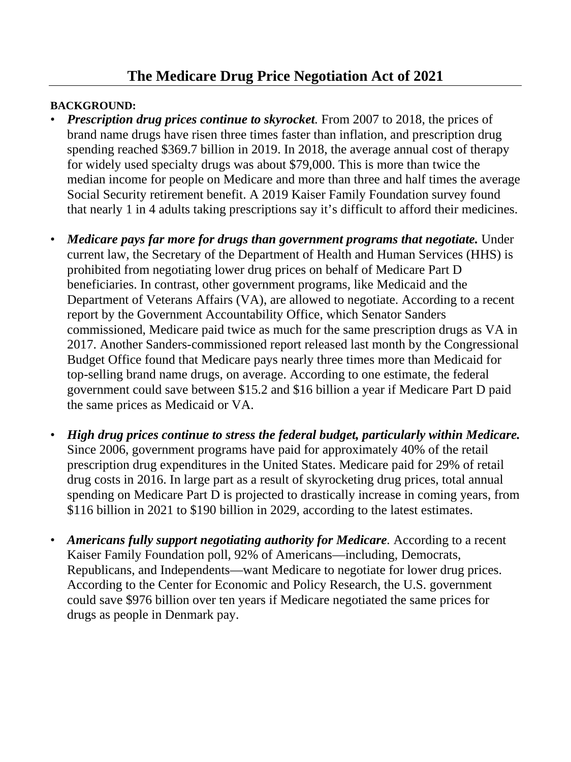## **The Medicare Drug Price Negotiation Act of 2021**

## **BACKGROUND:**

- **Prescription drug prices continue to skyrocket**. From 2007 to 2018, the prices of brand name drugs have risen three times faster than inflation, and prescription drug spending reached \$369.7 billion in 2019. In 2018, the average annual cost of therapy for widely used specialty drugs was about \$79,000. This is more than twice the median income for people on Medicare and more than three and half times the average Social Security retirement benefit. A 2019 Kaiser Family Foundation survey found that nearly 1 in 4 adults taking prescriptions say it's difficult to afford their medicines.
- *Medicare pays far more for drugs than government programs that negotiate.* Under current law, the Secretary of the Department of Health and Human Services (HHS) is prohibited from negotiating lower drug prices on behalf of Medicare Part D beneficiaries. In contrast, other government programs, like Medicaid and the Department of Veterans Affairs (VA), are allowed to negotiate. According to a recent report by the Government Accountability Office, which Senator Sanders commissioned, Medicare paid twice as much for the same prescription drugs as VA in 2017. Another Sanders-commissioned report released last month by the Congressional Budget Office found that Medicare pays nearly three times more than Medicaid for top-selling brand name drugs, on average. According to one estimate, the federal government could save between \$15.2 and \$16 billion a year if Medicare Part D paid the same prices as Medicaid or VA.
- *High drug prices continue to stress the federal budget, particularly within Medicare.*  Since 2006, government programs have paid for approximately 40% of the retail prescription drug expenditures in the United States. Medicare paid for 29% of retail drug costs in 2016. In large part as a result of skyrocketing drug prices, total annual spending on Medicare Part D is projected to drastically increase in coming years, from \$116 billion in 2021 to \$190 billion in 2029, according to the latest estimates.
- *Americans fully support negotiating authority for Medicare.* According to a recent Kaiser Family Foundation poll, 92% of Americans—including, Democrats, Republicans, and Independents—want Medicare to negotiate for lower drug prices. According to the Center for Economic and Policy Research, the U.S. government could save \$976 billion over ten years if Medicare negotiated the same prices for drugs as people in Denmark pay.